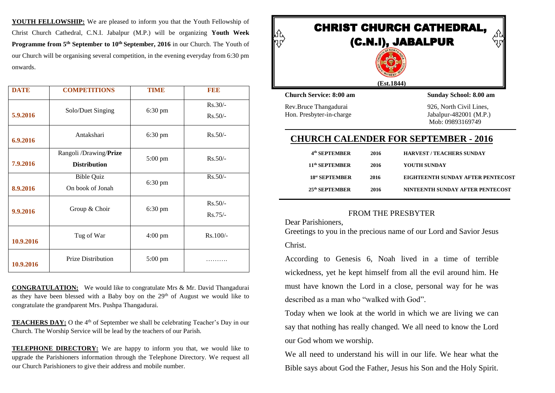**YOUTH FELLOWSHIP:** We are pleased to inform you that the Youth Fellowship of Christ Church Cathedral, C.N.I. Jabalpur (M.P.) will be organizing **Youth Week Programme from 5<sup>th</sup> September to 10<sup>th</sup> September, 2016** in our Church. The Youth of our Church will be organising several competition, in the evening everyday from 6:30 pm onwards.

| <b>DATE</b> | <b>COMPETITIONS</b>                           | <b>TIME</b>       | FEE                    |
|-------------|-----------------------------------------------|-------------------|------------------------|
| 5.9.2016    | Solo/Duet Singing                             | 6:30 pm           | $Rs.30/-$<br>$Rs.50/-$ |
| 6.9.2016    | Antakshari                                    | 6:30 pm           | $Rs.50/-$              |
| 7.9.2016    | Rangoli /Drawing/Prize<br><b>Distribution</b> | 5:00 pm           | $Rs.50/-$              |
| 8.9.2016    | <b>Bible Quiz</b><br>On book of Jonah         | 6:30 pm           | $Rs.50/-$              |
| 9.9.2016    | Group & Choir                                 | $6:30 \text{ pm}$ | $Rs.50/-$<br>$Rs.75/-$ |
| 10.9.2016   | Tug of War                                    | $4:00 \text{ pm}$ | Rs.100/-               |
| 10.9.2016   | <b>Prize Distribution</b>                     | 5:00 pm           | .                      |

**CONGRATULATION:** We would like to congratulate Mrs & Mr. David Thangadurai as they have been blessed with a Baby boy on the  $29<sup>th</sup>$  of August we would like to congratulate the grandparent Mrs. Pushpa Thangadurai.

**TEACHERS DAY:** O the 4<sup>th</sup> of September we shall be celebrating Teacher's Day in our Church. The Worship Service will be lead by the teachers of our Parish.

**TELEPHONE DIRECTORY:** We are happy to inform you that, we would like to upgrade the Parishioners information through the Telephone Directory. We request all our Church Parishioners to give their address and mobile number.



# **CHURCH CALENDER FOR SEPTEMBER - 2016**

| 4 <sup>th</sup> SEPTEMBER  | 2016 | <b>HARVEST / TEACHERS SUNDAY</b>  |
|----------------------------|------|-----------------------------------|
| 11 <sup>th</sup> SEPTEMBER | 2016 | YOUTH SUNDAY                      |
| 18 <sup>st</sup> SEPTEMBER | 2016 | EIGHTEENTH SUNDAY AFTER PENTECOST |
| $25th$ SEPTEMBER           | 2016 | NINTEENTH SUNDAY AFTER PENTECOST  |

### FROM THE PRESBYTER

Dear Parishioners,

Greetings to you in the precious name of our Lord and Savior Jesus Christ.

According to Genesis 6, Noah lived in a time of terrible wickedness, yet he kept himself from all the evil around him. He must have known the Lord in a close, personal way for he was described as a man who "walked with God".

Today when we look at the world in which we are living we can say that nothing has really changed. We all need to know the Lord our God whom we worship.

We all need to understand his will in our life. We hear what the Bible says about God the Father, Jesus his Son and the Holy Spirit.